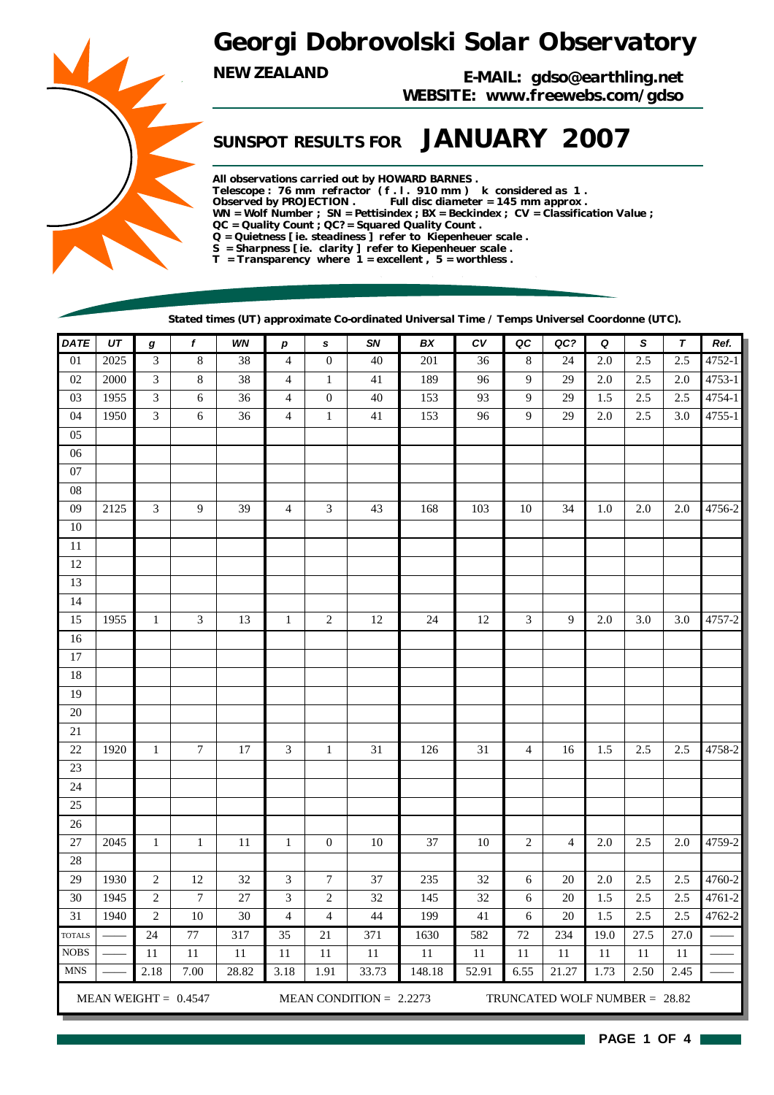## *Georgi Dobrovolski Solar Observatory*

*NEW ZEALAND E-MAIL: gdso@earthling.net WEBSITE: www.freewebs.com/gdso*

## *SUNSPOT RESULTS FOR JANUARY 2007*

*All observations carried out by HOWARD BARNES . Telescope : 76 mm refractor ( f . l . 910 mm ) k considered as 1 . Observed by PROJECTION . Full disc diameter = 145 mm approx . WN = Wolf Number ; SN = Pettisindex ; BX = Beckindex ; CV = Classification Value ; QC = Quality Count ; QC? = Squared Quality Count . Q = Quietness [ ie. steadiness ] refer to Kiepenheuer scale . S = Sharpness [ ie. clarity ] refer to Kiepenheuer scale . T = Transparency where 1 = excellent , 5 = worthless .*

*Stated times (UT) approximate Co-ordinated Universal Time / Temps Universel Coordonne (UTC).*

| <b>DATE</b>     | UT   | $\boldsymbol{g}$            | f                      | WN     | р                           | $\pmb{s}$                | SN                        | BX     | c <sub>V</sub> | QC             | $QC$ ?                        | Q    | S       | T       | Ref.   |
|-----------------|------|-----------------------------|------------------------|--------|-----------------------------|--------------------------|---------------------------|--------|----------------|----------------|-------------------------------|------|---------|---------|--------|
| $\overline{01}$ | 2025 | $\ensuremath{\mathfrak{Z}}$ | $\,8\,$                | 38     | $\overline{4}$              | $\boldsymbol{0}$         | 40                        | 201    | 36             | 8              | 24                            | 2.0  | 2.5     | 2.5     | 4752-1 |
| 02              | 2000 | $\mathfrak{Z}$              | $\,8\,$                | 38     | $\overline{4}$              | $\mathbf{1}$             | 41                        | 189    | 96             | 9              | 29                            | 2.0  | 2.5     | 2.0     | 4753-1 |
| 03              | 1955 | $\ensuremath{\mathfrak{Z}}$ | $\epsilon$             | 36     | $\overline{4}$              | $\boldsymbol{0}$         | 40                        | 153    | 93             | 9              | 29                            | 1.5  | 2.5     | 2.5     | 4754-1 |
| 04              | 1950 | $\mathfrak{Z}$              | 6                      | 36     | $\overline{4}$              | $\,1\,$                  | 41                        | 153    | 96             | 9              | 29                            | 2.0  | 2.5     | 3.0     | 4755-1 |
| 05              |      |                             |                        |        |                             |                          |                           |        |                |                |                               |      |         |         |        |
| 06              |      |                             |                        |        |                             |                          |                           |        |                |                |                               |      |         |         |        |
| $07\,$          |      |                             |                        |        |                             |                          |                           |        |                |                |                               |      |         |         |        |
| 08              |      |                             |                        |        |                             |                          |                           |        |                |                |                               |      |         |         |        |
| 09              | 2125 | 3                           | 9                      | 39     | $\overline{4}$              | $\mathfrak{Z}$           | 43                        | 168    | 103            | 10             | 34                            | 1.0  | $2.0\,$ | 2.0     | 4756-2 |
| $10\,$          |      |                             |                        |        |                             |                          |                           |        |                |                |                               |      |         |         |        |
| 11              |      |                             |                        |        |                             |                          |                           |        |                |                |                               |      |         |         |        |
| 12              |      |                             |                        |        |                             |                          |                           |        |                |                |                               |      |         |         |        |
| 13              |      |                             |                        |        |                             |                          |                           |        |                |                |                               |      |         |         |        |
| 14              |      |                             |                        |        |                             |                          |                           |        |                |                |                               |      |         |         |        |
| 15              | 1955 | $\mathbf{1}$                | 3                      | 13     | $\mathbf{1}$                | $\sqrt{2}$               | 12                        | 24     | 12             | 3              | 9                             | 2.0  | 3.0     | 3.0     | 4757-2 |
| 16              |      |                             |                        |        |                             |                          |                           |        |                |                |                               |      |         |         |        |
| 17              |      |                             |                        |        |                             |                          |                           |        |                |                |                               |      |         |         |        |
| 18              |      |                             |                        |        |                             |                          |                           |        |                |                |                               |      |         |         |        |
| 19              |      |                             |                        |        |                             |                          |                           |        |                |                |                               |      |         |         |        |
| 20              |      |                             |                        |        |                             |                          |                           |        |                |                |                               |      |         |         |        |
| $21\,$          |      |                             |                        |        |                             |                          |                           |        |                |                |                               |      |         |         |        |
| 22              | 1920 | $\mathbf{1}$                | $\overline{7}$         | 17     | 3                           | $\mathbf{1}$             | 31                        | 126    | 31             | $\overline{4}$ | 16                            | 1.5  | 2.5     | $2.5\,$ | 4758-2 |
| 23              |      |                             |                        |        |                             |                          |                           |        |                |                |                               |      |         |         |        |
| 24              |      |                             |                        |        |                             |                          |                           |        |                |                |                               |      |         |         |        |
| 25              |      |                             |                        |        |                             |                          |                           |        |                |                |                               |      |         |         |        |
| 26              |      |                             |                        |        |                             |                          |                           |        |                |                |                               |      |         |         |        |
| 27              | 2045 | $\mathbf{1}$                | $\mathbf{1}$           | 11     | $\mathbf{1}$                | $\boldsymbol{0}$         | 10                        | 37     | 10             | $\overline{c}$ | $\overline{4}$                | 2.0  | 2.5     | $2.0\,$ | 4759-2 |
| 28              |      |                             |                        |        |                             |                          |                           |        |                |                |                               |      |         |         |        |
| 29              | 1930 | $\sqrt{2}$                  | 12                     | 32     | $\ensuremath{\mathfrak{Z}}$ | $\boldsymbol{7}$         | 37                        | 235    | 32             | 6              | 20                            | 2.0  | 2.5     | 2.5     | 4760-2 |
| 30              | 1945 | $\sqrt{2}$                  | $\boldsymbol{7}$       | $27\,$ | $\ensuremath{\mathfrak{Z}}$ | $\sqrt{2}$               | 32                        | 145    | 32             | 6              | 20                            | 1.5  | 2.5     | 2.5     | 4761-2 |
| 31              | 1940 | $\sqrt{2}$                  | 10                     | 30     | $\overline{4}$              | $\overline{\mathcal{L}}$ | 44                        | 199    | 41             | 6              | 20                            | 1.5  | 2.5     | 2.5     | 4762-2 |
| <b>TOTALS</b>   |      | $\overline{24}$             | 77                     | 317    | $\overline{35}$             | $\overline{21}$          | 371                       | 1630   | 582            | 72             | 234                           | 19.0 | 27.5    | 27.0    |        |
| <b>NOBS</b>     |      | 11                          | 11                     | 11     | 11                          | 11                       | $11\,$                    | 11     | $11\,$         | 11             | 11                            | 11   | 11      | 11      |        |
| <b>MNS</b>      |      | 2.18                        | 7.00                   | 28.82  | 3.18                        | 1.91                     | 33.73                     | 148.18 | 52.91          | 6.55           | 21.27                         | 1.73 | 2.50    | 2.45    |        |
|                 |      |                             | MEAN WEIGHT = $0.4547$ |        |                             |                          | MEAN CONDITION = $2.2273$ |        |                |                | TRUNCATED WOLF NUMBER = 28.82 |      |         |         |        |

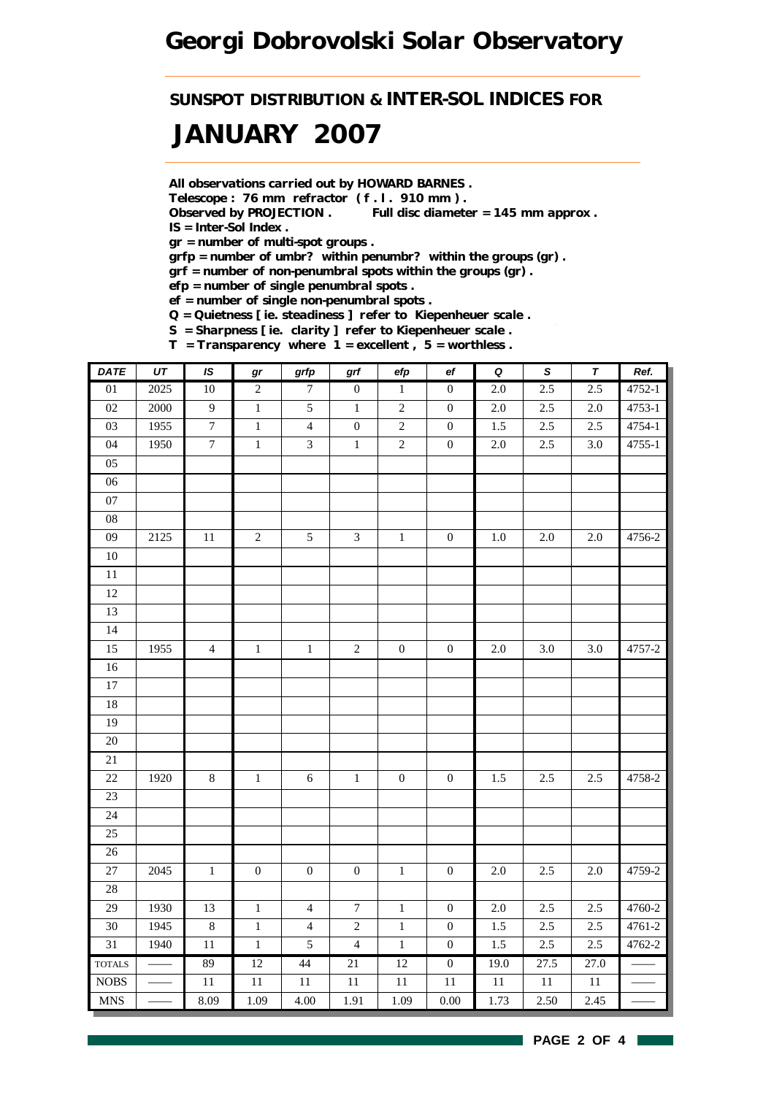*SUNSPOT DISTRIBUTION & INTER-SOL INDICES FOR*

# *JANUARY 2007*

*All observations carried out by HOWARD BARNES .*

*Telescope : 76 mm refractor ( f . l . 910 mm ) .*

*Observed by PROJECTION . Full disc diameter = 145 mm approx . IS = Inter-Sol Index .*

*gr = number of multi-spot groups .*

*grfp = number of umbr? within penumbr? within the groups (gr) .*

*grf = number of non-penumbral spots within the groups (gr) .*

*efp = number of single penumbral spots .*

*ef = number of single non-penumbral spots .*

*Q = Quietness [ ie. steadiness ] refer to Kiepenheuer scale .*

*S = Sharpness [ ie. clarity ] refer to Kiepenheuer scale .*

*T = Transparency where 1 = excellent , 5 = worthless .*

| <b>DATE</b>               | $\overline{UT}$ | IS               | $\bm{gr}$        | grfp             | $\operatorname{\textsf{grf}}$ | efp              | ef               | $\overline{\mathbf{Q}}$ | $\overline{s}$ | $\pmb{\tau}$ | Ref.   |
|---------------------------|-----------------|------------------|------------------|------------------|-------------------------------|------------------|------------------|-------------------------|----------------|--------------|--------|
| $\overline{01}$           | 2025            | $\overline{10}$  | $\overline{c}$   | $\boldsymbol{7}$ | $\mathbf{0}$                  | $\,1$            | $\boldsymbol{0}$ | $\overline{2.0}$        | 2.5            | 2.5          | 4752-1 |
| 02                        | 2000            | $\overline{9}$   | $\,1$            | 5                | $1\,$                         | $\sqrt{2}$       | $\boldsymbol{0}$ | $2.0\,$                 | 2.5            | $2.0\,$      | 4753-1 |
| 03                        | 1955            | $\boldsymbol{7}$ | $\,1$            | $\overline{4}$   | $\boldsymbol{0}$              | $\boldsymbol{2}$ | $\boldsymbol{0}$ | 1.5                     | $2.5\,$        | $2.5\,$      | 4754-1 |
| 04                        | 1950            | $\overline{7}$   | $\mathbf{1}$     | $\mathfrak{Z}$   | $\,1\,$                       | $\sqrt{2}$       | $\boldsymbol{0}$ | $2.0\,$                 | 2.5            | 3.0          | 4755-1 |
| 05                        |                 |                  |                  |                  |                               |                  |                  |                         |                |              |        |
| 06                        |                 |                  |                  |                  |                               |                  |                  |                         |                |              |        |
| $07\,$                    |                 |                  |                  |                  |                               |                  |                  |                         |                |              |        |
| ${\bf 08}$                |                 |                  |                  |                  |                               |                  |                  |                         |                |              |        |
| 09                        | 2125            | $11\,$           | $\overline{c}$   | $\mathfrak{S}$   | $\mathfrak{Z}$                | $\,1$            | $\boldsymbol{0}$ | $1.0\,$                 | $2.0\,$        | $2.0\,$      | 4756-2 |
| $10\,$                    |                 |                  |                  |                  |                               |                  |                  |                         |                |              |        |
| $\overline{11}$           |                 |                  |                  |                  |                               |                  |                  |                         |                |              |        |
| $12\,$                    |                 |                  |                  |                  |                               |                  |                  |                         |                |              |        |
| 13                        |                 |                  |                  |                  |                               |                  |                  |                         |                |              |        |
| 14                        |                 |                  |                  |                  |                               |                  |                  |                         |                |              |        |
| 15                        | 1955            | $\overline{4}$   | $\,1$            | $\,1$            | $\sqrt{2}$                    | $\boldsymbol{0}$ | $\boldsymbol{0}$ | $2.0\,$                 | 3.0            | 3.0          | 4757-2 |
| $16\,$                    |                 |                  |                  |                  |                               |                  |                  |                         |                |              |        |
| $17\,$                    |                 |                  |                  |                  |                               |                  |                  |                         |                |              |        |
| $18\,$                    |                 |                  |                  |                  |                               |                  |                  |                         |                |              |        |
| 19                        |                 |                  |                  |                  |                               |                  |                  |                         |                |              |        |
| $\overline{20}$           |                 |                  |                  |                  |                               |                  |                  |                         |                |              |        |
| $21\,$                    |                 |                  |                  |                  |                               |                  |                  |                         |                |              |        |
| $22\,$                    | 1920            | $8\,$            | $\mathbf{1}$     | $\sqrt{6}$       | $1\,$                         | $\boldsymbol{0}$ | $\boldsymbol{0}$ | 1.5                     | 2.5            | $2.5\,$      | 4758-2 |
| $23\,$                    |                 |                  |                  |                  |                               |                  |                  |                         |                |              |        |
| 24                        |                 |                  |                  |                  |                               |                  |                  |                         |                |              |        |
| 25                        |                 |                  |                  |                  |                               |                  |                  |                         |                |              |        |
| $26\,$                    |                 |                  |                  |                  |                               |                  |                  |                         |                |              |        |
| 27                        | 2045            | $\,1$            | $\boldsymbol{0}$ | $\boldsymbol{0}$ | $\boldsymbol{0}$              | $\,1\,$          | $\boldsymbol{0}$ | $2.0\,$                 | 2.5            | $2.0\,$      | 4759-2 |
| 28                        |                 |                  |                  |                  |                               |                  |                  |                         |                |              |        |
| 29                        | 1930            | 13               | $\,1\,$          | $\overline{4}$   | $\boldsymbol{7}$              | $\,1\,$          | $\boldsymbol{0}$ | $2.0\,$                 | 2.5            | 2.5          | 4760-2 |
| 30                        | 1945            | $8\,$            | $\,1$            | $\overline{4}$   | $\sqrt{2}$                    | $\,1$            | $\boldsymbol{0}$ | 1.5                     | 2.5            | 2.5          | 4761-2 |
| 31                        | 1940            | 11               | $\mathbf{1}$     | 5                | $\overline{4}$                | $1\,$            | $\boldsymbol{0}$ | 1.5                     | $2.5\,$        | $2.5\,$      | 4762-2 |
| <b>TOTALS</b>             |                 | 89               | 12               | 44               | 21                            | 12               | $\overline{0}$   | 19.0                    | 27.5           | 27.0         |        |
| $\rm{NOBS}$               |                 | $11\,$           | $11\,$           | $11\,$           | $11\,$                        | $11\,$           | $11\,$           | 11                      | $11\,$         | $11\,$       |        |
| $\ensuremath{\text{MNS}}$ |                 | 8.09             | 1.09             | 4.00             | 1.91                          | 1.09             | $0.00\,$         | 1.73                    | 2.50           | 2.45         |        |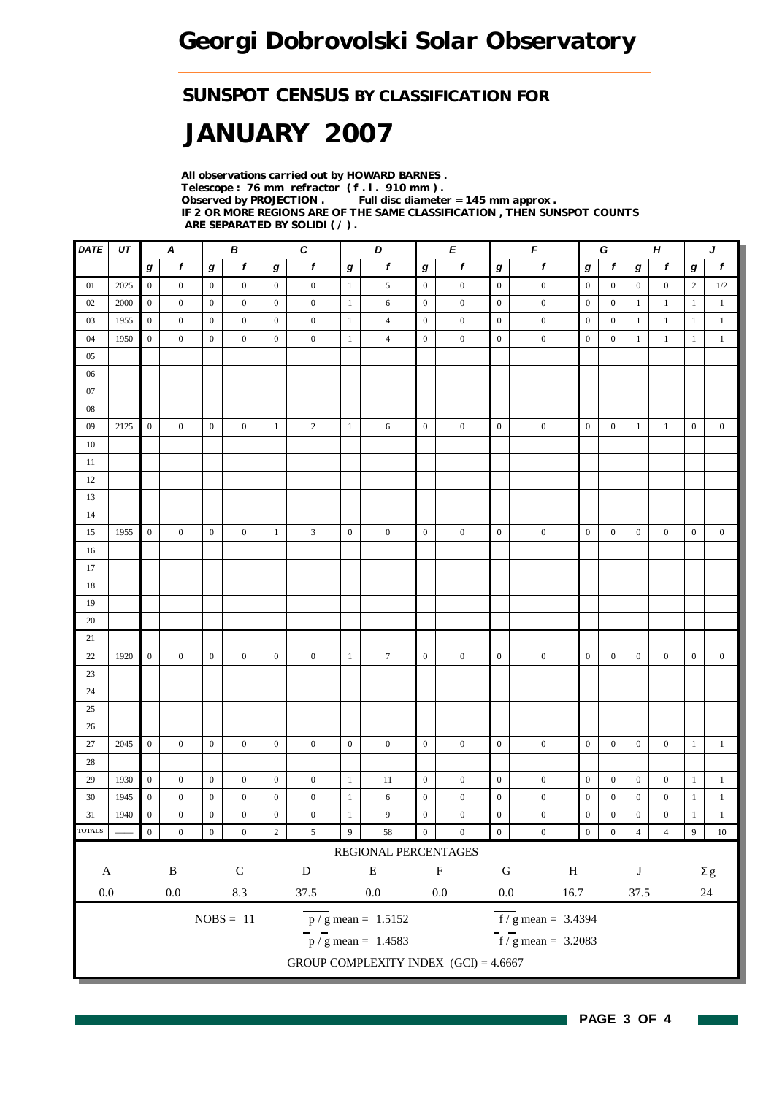### *SUNSPOT CENSUS BY CLASSIFICATION FOR*

# *JANUARY 2007*

*All observations carried out by HOWARD BARNES . Telescope : 76 mm refractor ( f . l . 910 mm ) . Full disc diameter = 145 mm approx . IF 2 OR MORE REGIONS ARE OF THE SAME CLASSIFICATION , THEN SUNSPOT COUNTS ARE SEPARATED BY SOLIDI ( / ) .*

| DATE                      | UT   |                  | Α                |                  | В                |                  | $\pmb{C}$        |                  | D                                       |                  | E                |                  | $\pmb{\mathit{F}}$               | $\boldsymbol{H}$<br>G |                  |                  |                  | J                |                  |
|---------------------------|------|------------------|------------------|------------------|------------------|------------------|------------------|------------------|-----------------------------------------|------------------|------------------|------------------|----------------------------------|-----------------------|------------------|------------------|------------------|------------------|------------------|
|                           |      | g                | $\boldsymbol{f}$ | g                | $\mathbf f$      | $\boldsymbol{g}$ | $\boldsymbol{f}$ | $\boldsymbol{g}$ | $\boldsymbol{f}$                        | $\bm{g}$         | f                | $\boldsymbol{g}$ | $\pmb{f}$                        | g                     | $\boldsymbol{f}$ | $\bm{g}$         | f                | g                | $\boldsymbol{f}$ |
| 01                        | 2025 | $\boldsymbol{0}$ | $\boldsymbol{0}$ | $\boldsymbol{0}$ | $\boldsymbol{0}$ | $\overline{0}$   | $\boldsymbol{0}$ | $\mathbf{1}$     | 5                                       | $\boldsymbol{0}$ | $\boldsymbol{0}$ | $\mathbf{0}$     | $\boldsymbol{0}$                 | $\boldsymbol{0}$      | $\boldsymbol{0}$ | $\boldsymbol{0}$ | $\boldsymbol{0}$ | $\overline{2}$   | $1/2\,$          |
| 02                        | 2000 | $\boldsymbol{0}$ | $\mathbf{0}$     | $\boldsymbol{0}$ | $\mathbf{0}$     | $\boldsymbol{0}$ | $\boldsymbol{0}$ | $\mathbf{1}$     | 6                                       | $\boldsymbol{0}$ | $\boldsymbol{0}$ | $\boldsymbol{0}$ | $\boldsymbol{0}$                 | $\boldsymbol{0}$      | $\mathbf{0}$     | $\mathbf{1}$     | $\mathbf{1}$     | $\mathbf{1}$     | $\mathbf{1}$     |
| 03                        | 1955 | $\boldsymbol{0}$ | $\boldsymbol{0}$ | $\boldsymbol{0}$ | $\boldsymbol{0}$ | $\boldsymbol{0}$ | $\boldsymbol{0}$ | $\mathbf{1}$     | $\overline{4}$                          | $\boldsymbol{0}$ | $\boldsymbol{0}$ | $\boldsymbol{0}$ | $\boldsymbol{0}$                 | $\boldsymbol{0}$      | $\boldsymbol{0}$ | $\mathbf{1}$     | $\mathbf{1}$     | $\mathbf{1}$     | $\mathbf{1}$     |
| 04                        | 1950 | $\boldsymbol{0}$ | $\boldsymbol{0}$ | $\boldsymbol{0}$ | $\boldsymbol{0}$ | $\boldsymbol{0}$ | $\boldsymbol{0}$ | $\mathbf{1}$     | $\overline{4}$                          | $\boldsymbol{0}$ | $\boldsymbol{0}$ | $\boldsymbol{0}$ | $\boldsymbol{0}$                 | $\boldsymbol{0}$      | $\boldsymbol{0}$ | $\mathbf{1}$     | $\mathbf{1}$     | $\mathbf{1}$     | $\mathbf{1}$     |
| 05                        |      |                  |                  |                  |                  |                  |                  |                  |                                         |                  |                  |                  |                                  |                       |                  |                  |                  |                  |                  |
| 06                        |      |                  |                  |                  |                  |                  |                  |                  |                                         |                  |                  |                  |                                  |                       |                  |                  |                  |                  |                  |
| $07\,$                    |      |                  |                  |                  |                  |                  |                  |                  |                                         |                  |                  |                  |                                  |                       |                  |                  |                  |                  |                  |
| 08                        |      |                  |                  |                  |                  |                  |                  |                  |                                         |                  |                  |                  |                                  |                       |                  |                  |                  |                  |                  |
| 09                        | 2125 | $\mathbf{0}$     | $\boldsymbol{0}$ | $\boldsymbol{0}$ | $\boldsymbol{0}$ | $\mathbf{1}$     | $\overline{c}$   | $\mathbf{1}$     | 6                                       | $\boldsymbol{0}$ | $\boldsymbol{0}$ | $\mathbf{0}$     | $\boldsymbol{0}$                 | $\boldsymbol{0}$      | $\boldsymbol{0}$ | $\mathbf{1}$     | $\mathbf{1}$     | $\boldsymbol{0}$ | $\boldsymbol{0}$ |
| 10                        |      |                  |                  |                  |                  |                  |                  |                  |                                         |                  |                  |                  |                                  |                       |                  |                  |                  |                  |                  |
| 11                        |      |                  |                  |                  |                  |                  |                  |                  |                                         |                  |                  |                  |                                  |                       |                  |                  |                  |                  |                  |
| 12                        |      |                  |                  |                  |                  |                  |                  |                  |                                         |                  |                  |                  |                                  |                       |                  |                  |                  |                  |                  |
| 13                        |      |                  |                  |                  |                  |                  |                  |                  |                                         |                  |                  |                  |                                  |                       |                  |                  |                  |                  |                  |
| 14                        |      |                  |                  |                  |                  |                  |                  |                  |                                         |                  |                  |                  |                                  |                       |                  |                  |                  |                  |                  |
| 15                        | 1955 | $\boldsymbol{0}$ | $\boldsymbol{0}$ | $\boldsymbol{0}$ | $\boldsymbol{0}$ | $\mathbf{1}$     | 3                | $\boldsymbol{0}$ | $\boldsymbol{0}$                        | $\boldsymbol{0}$ | $\boldsymbol{0}$ | $\boldsymbol{0}$ | $\boldsymbol{0}$                 | $\boldsymbol{0}$      | $\boldsymbol{0}$ | $\boldsymbol{0}$ | $\boldsymbol{0}$ | $\boldsymbol{0}$ | $\boldsymbol{0}$ |
| 16                        |      |                  |                  |                  |                  |                  |                  |                  |                                         |                  |                  |                  |                                  |                       |                  |                  |                  |                  |                  |
| 17                        |      |                  |                  |                  |                  |                  |                  |                  |                                         |                  |                  |                  |                                  |                       |                  |                  |                  |                  |                  |
| 18                        |      |                  |                  |                  |                  |                  |                  |                  |                                         |                  |                  |                  |                                  |                       |                  |                  |                  |                  |                  |
| 19                        |      |                  |                  |                  |                  |                  |                  |                  |                                         |                  |                  |                  |                                  |                       |                  |                  |                  |                  |                  |
| 20                        |      |                  |                  |                  |                  |                  |                  |                  |                                         |                  |                  |                  |                                  |                       |                  |                  |                  |                  |                  |
| 21                        |      |                  |                  |                  |                  |                  |                  |                  |                                         |                  |                  |                  |                                  |                       |                  |                  |                  |                  |                  |
| $22\,$                    | 1920 | $\boldsymbol{0}$ | $\boldsymbol{0}$ | $\boldsymbol{0}$ | $\boldsymbol{0}$ | $\boldsymbol{0}$ | $\boldsymbol{0}$ | $\mathbf{1}$     | $\tau$                                  | $\boldsymbol{0}$ | $\boldsymbol{0}$ | $\boldsymbol{0}$ | $\boldsymbol{0}$                 | $\boldsymbol{0}$      | $\boldsymbol{0}$ | $\boldsymbol{0}$ | $\boldsymbol{0}$ | $\boldsymbol{0}$ | $\boldsymbol{0}$ |
| $23\,$                    |      |                  |                  |                  |                  |                  |                  |                  |                                         |                  |                  |                  |                                  |                       |                  |                  |                  |                  |                  |
| $24\,$                    |      |                  |                  |                  |                  |                  |                  |                  |                                         |                  |                  |                  |                                  |                       |                  |                  |                  |                  |                  |
| 25                        |      |                  |                  |                  |                  |                  |                  |                  |                                         |                  |                  |                  |                                  |                       |                  |                  |                  |                  |                  |
| 26                        |      |                  |                  |                  |                  |                  |                  |                  |                                         |                  |                  |                  |                                  |                       |                  |                  |                  |                  |                  |
| $27\,$                    | 2045 | $\boldsymbol{0}$ | $\boldsymbol{0}$ | $\boldsymbol{0}$ | $\boldsymbol{0}$ | $\mathbf{0}$     | $\boldsymbol{0}$ | $\boldsymbol{0}$ | $\boldsymbol{0}$                        | $\boldsymbol{0}$ | $\boldsymbol{0}$ | $\mathbf{0}$     | $\boldsymbol{0}$                 | $\boldsymbol{0}$      | $\boldsymbol{0}$ | $\boldsymbol{0}$ | $\boldsymbol{0}$ | $\mathbf{1}$     | $\mathbf{1}$     |
| $28\,$                    |      |                  |                  |                  |                  |                  |                  |                  |                                         |                  |                  |                  |                                  |                       |                  |                  |                  |                  |                  |
| 29                        | 1930 | $\boldsymbol{0}$ | $\mathbf{0}$     | $\boldsymbol{0}$ | $\boldsymbol{0}$ | $\boldsymbol{0}$ | $\boldsymbol{0}$ | $\mathbf{1}$     | 11                                      | $\mathbf{0}$     | $\boldsymbol{0}$ | $\boldsymbol{0}$ | $\boldsymbol{0}$                 | $\boldsymbol{0}$      | $\boldsymbol{0}$ | $\boldsymbol{0}$ | $\boldsymbol{0}$ | $\mathbf{1}$     | $\,1\,$          |
| 30                        | 1945 | $\boldsymbol{0}$ | $\boldsymbol{0}$ | $\boldsymbol{0}$ | $\boldsymbol{0}$ | $\boldsymbol{0}$ | $\boldsymbol{0}$ | $\mathbf{1}$     | 6                                       | $\boldsymbol{0}$ | $\boldsymbol{0}$ | $\mathbf{0}$     | $\boldsymbol{0}$                 | $\boldsymbol{0}$      | $\boldsymbol{0}$ | $\boldsymbol{0}$ | $\boldsymbol{0}$ | $\mathbf{1}$     | $\mathbf{1}$     |
| 31                        | 1940 | $\boldsymbol{0}$ | $\boldsymbol{0}$ | $\boldsymbol{0}$ | $\boldsymbol{0}$ | $\mathbf{0}$     | $\boldsymbol{0}$ | $\mathbf{1}$     | 9                                       | $\boldsymbol{0}$ | $\boldsymbol{0}$ | $\boldsymbol{0}$ | $\boldsymbol{0}$                 | $\boldsymbol{0}$      | $\boldsymbol{0}$ | $\boldsymbol{0}$ | $\boldsymbol{0}$ | $\mathbf{1}$     | $\,1$            |
| <b>TOTALS</b>             |      | $\,0\,$          | $\boldsymbol{0}$ | $\boldsymbol{0}$ | $\boldsymbol{0}$ | $\sqrt{2}$       | $\sqrt{5}$       | $\overline{9}$   | 58                                      | $\boldsymbol{0}$ | $\boldsymbol{0}$ | $\boldsymbol{0}$ | $\boldsymbol{0}$                 | $\boldsymbol{0}$      | $\boldsymbol{0}$ | $\overline{4}$   | $\overline{4}$   | 9                | $10\,$           |
|                           |      |                  |                  |                  |                  |                  |                  |                  | REGIONAL PERCENTAGES                    |                  |                  |                  |                                  |                       |                  |                  |                  |                  |                  |
| $\boldsymbol{\mathsf{A}}$ |      |                  | $\, {\bf B}$     |                  | $\mathsf C$      |                  | $\mathbf D$      |                  | ${\bf E}$                               |                  | $\mathbf F$      | ${\bf G}$        | $\, {\rm H}$                     |                       |                  | $\bf J$          |                  |                  | $\Sigma$ g       |
|                           |      |                  |                  |                  |                  |                  |                  |                  |                                         |                  |                  |                  |                                  |                       |                  |                  |                  |                  |                  |
| $0.0\,$                   |      |                  | $0.0\,$          |                  | $\!\!\!\!\!8.3$  |                  | 37.5             |                  | $0.0\,$                                 |                  | $0.0\,$          | $0.0\,$          | 16.7                             |                       |                  | 37.5             |                  |                  | $24\,$           |
|                           |      |                  |                  |                  | $NOBS = 11$      |                  |                  |                  | $\overline{p}/g$ mean = 1.5152          |                  |                  |                  | $\overline{f}$ / g mean = 3.4394 |                       |                  |                  |                  |                  |                  |
|                           |      |                  |                  |                  |                  |                  |                  |                  | $\frac{1}{p}$ / g mean = 1.4583         |                  |                  |                  | $f/g$ mean = 3.2083              |                       |                  |                  |                  |                  |                  |
|                           |      |                  |                  |                  |                  |                  |                  |                  | GROUP COMPLEXITY INDEX $(GCI) = 4.6667$ |                  |                  |                  |                                  |                       |                  |                  |                  |                  |                  |
|                           |      |                  |                  |                  |                  |                  |                  |                  |                                         |                  |                  |                  |                                  |                       |                  |                  |                  |                  |                  |

H

 $\sim$